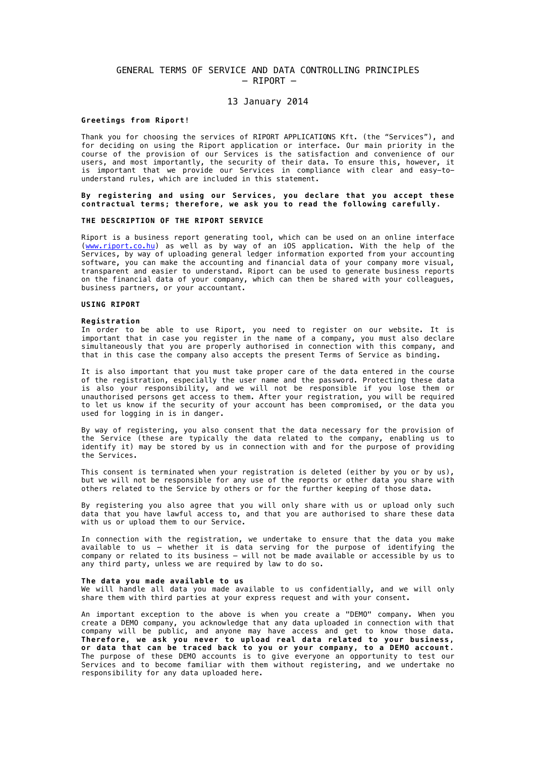# GENERAL TERMS OF SERVICE AND DATA CONTROLLING PRINCIPLES – RIPORT –

# 13 January 2014

#### **Greetings from Riport!**

Thank you for choosing the services of RIPORT APPLICATIONS Kft. (the "Services"), and for deciding on using the Riport application or interface. Our main priority in the course of the provision of our Services is the satisfaction and convenience of our users, and most importantly, the security of their data. To ensure this, however, it is important that we provide our Services in compliance with clear and easy-tounderstand rules, which are included in this statement.

# **By registering and using our Services, you declare that you accept these contractual terms; therefore, we ask you to read the following carefully.**

## **THE DESCRIPTION OF THE RIPORT SERVICE**

Riport is a business report generating tool, which can be used on an online interface (www.riport.co.hu) as well as by way of an iOS application. With the help of the Services, by way of uploading general ledger information exported from your accounting software, you can make the accounting and financial data of your company more visual, transparent and easier to understand. Riport can be used to generate business reports on the financial data of your company, which can then be shared with your colleagues, business partners, or your accountant.

# **USING RIPORT**

#### **Registration**

In order to be able to use Riport, you need to register on our website. It is important that in case you register in the name of a company, you must also declare simultaneously that you are properly authorised in connection with this company, and that in this case the company also accepts the present Terms of Service as binding.

It is also important that you must take proper care of the data entered in the course of the registration, especially the user name and the password. Protecting these data is also your responsibility, and we will not be responsible if you lose them or unauthorised persons get access to them. After your registration, you will be required to let us know if the security of your account has been compromised, or the data you used for logging in is in danger.

By way of registering, you also consent that the data necessary for the provision of the Service (these are typically the data related to the company, enabling us to identify it) may be stored by us in connection with and for the purpose of providing the Services.

This consent is terminated when your registration is deleted (either by you or by us), but we will not be responsible for any use of the reports or other data you share with others related to the Service by others or for the further keeping of those data.

By registering you also agree that you will only share with us or upload only such data that you have lawful access to, and that you are authorised to share these data with us or upload them to our Service.

In connection with the registration, we undertake to ensure that the data you make available to us – whether it is data serving for the purpose of identifying the company or related to its business  $-$  will not be made available or accessible by us to any third party, unless we are required by law to do so.

#### **The data you made available to us**

We will handle all data you made available to us confidentially, and we will only share them with third parties at your express request and with your consent.

An important exception to the above is when you create a "DEMO" company. When you create a DEMO company, you acknowledge that any data uploaded in connection with that company will be public, and anyone may have access and get to know those data. **Therefore, we ask you never to upload real data related to your business, or data that can be traced back to you or your company, to a DEMO account.**  The purpose of these DEMO accounts is to give everyone an opportunity to test our Services and to become familiar with them without registering, and we undertake no responsibility for any data uploaded here.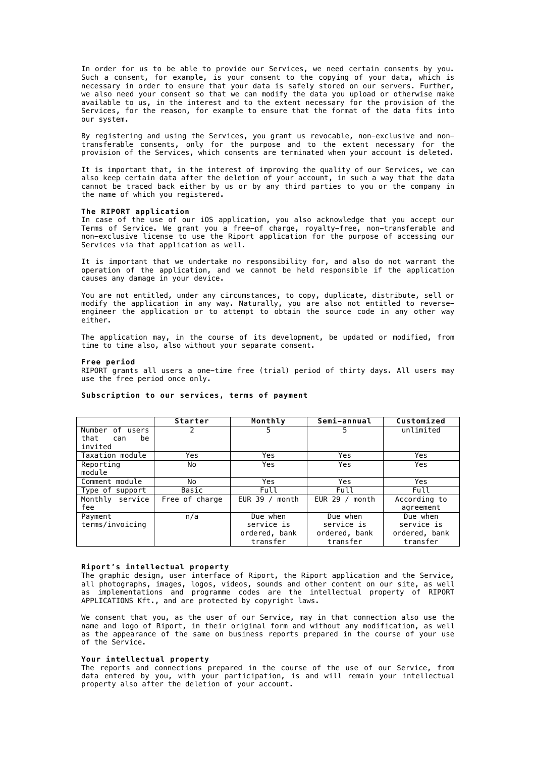In order for us to be able to provide our Services, we need certain consents by you. Such a consent, for example, is your consent to the copying of your data, which is necessary in order to ensure that your data is safely stored on our servers. Further, we also need your consent so that we can modify the data you upload or otherwise make available to us, in the interest and to the extent necessary for the provision of the Services, for the reason, for example to ensure that the format of the data fits into our system.

By registering and using the Services, you grant us revocable, non-exclusive and nontransferable consents, only for the purpose and to the extent necessary for the provision of the Services, which consents are terminated when your account is deleted.

It is important that, in the interest of improving the quality of our Services, we can also keep certain data after the deletion of your account, in such a way that the data cannot be traced back either by us or by any third parties to you or the company in the name of which you registered.

## **The RIPORT application**

In case of the use of our iOS application, you also acknowledge that you accept our Terms of Service. We grant you a free-of charge, royalty-free, non-transferable and non-exclusive license to use the Riport application for the purpose of accessing our Services via that application as well.

It is important that we undertake no responsibility for, and also do not warrant the operation of the application, and we cannot be held responsible if the application causes any damage in your device.

You are not entitled, under any circumstances, to copy, duplicate, distribute, sell or modify the application in any way. Naturally, you are also not entitled to reverseengineer the application or to attempt to obtain the source code in any other way either.

The application may, in the course of its development, be updated or modified, from time to time also, also without your separate consent.

#### **Free period**

RIPORT grants all users a one-time free (trial) period of thirty days. All users may use the free period once only.

|                   | Starter        | Monthly          | Semi-annual    | Customized    |
|-------------------|----------------|------------------|----------------|---------------|
| Number of users   |                | 5                | 5              | unlimited     |
| that<br>be<br>can |                |                  |                |               |
| invited           |                |                  |                |               |
| Taxation module   | Yes            | Yes              | Yes            | Yes           |
| Reporting         | No             | Yes              | Yes            | Yes           |
| module            |                |                  |                |               |
| Comment module    | No             | Yes              | Yes            | Yes           |
| Type of support   | Basic          | Full             | Full           | Full          |
| Monthly service   | Free of charge | EUR $39 /$ month | EUR 29 / month | According to  |
| fee               |                |                  |                | agreement     |
| Payment           | n/a            | Due when         | Due when       | Due when      |
| terms/invoicing   |                | service is       | service is     | service is    |
|                   |                | ordered, bank    | ordered, bank  | ordered, bank |
|                   |                | transfer         | transfer       | transfer      |

#### **Subscription to our services, terms of payment**

#### **Riport's intellectual property**

The graphic design, user interface of Riport, the Riport application and the Service, all photographs, images, logos, videos, sounds and other content on our site, as well as implementations and programme codes are the intellectual property of RIPORT APPLICATIONS Kft., and are protected by copyright laws.

We consent that you, as the user of our Service, may in that connection also use the name and logo of Riport, in their original form and without any modification, as well as the appearance of the same on business reports prepared in the course of your use of the Service.

# **Your intellectual property**

The reports and connections prepared in the course of the use of our Service, from data entered by you, with your participation, is and will remain your intellectual property also after the deletion of your account.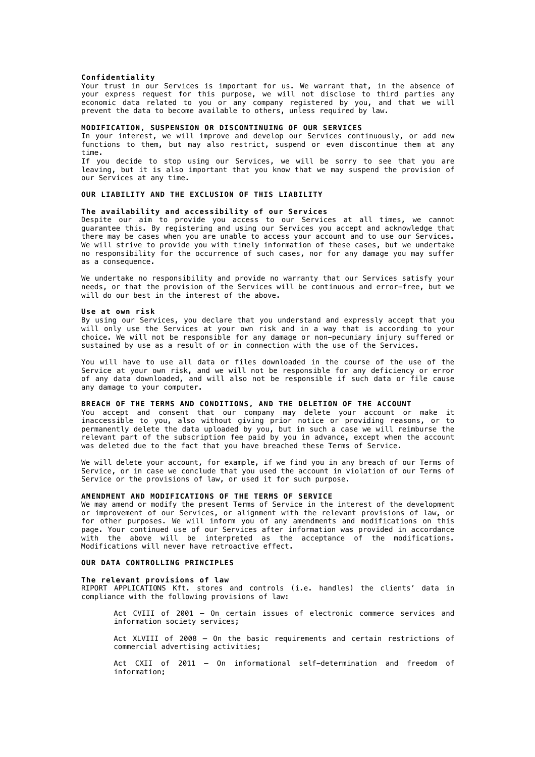#### **Confidentiality**

Your trust in our Services is important for us. We warrant that, in the absence of your express request for this purpose, we will not disclose to third parties any economic data related to you or any company registered by you, and that we will prevent the data to become available to others, unless required by law.

## **MODIFICATION, SUSPENSION OR DISCONTINUING OF OUR SERVICES**

In your interest, we will improve and develop our Services continuously, or add new functions to them, but may also restrict, suspend or even discontinue them at any time.

If you decide to stop using our Services, we will be sorry to see that you are leaving, but it is also important that you know that we may suspend the provision of our Services at any time.

# **OUR LIABILITY AND THE EXCLUSION OF THIS LIABILITY**

## **The availability and accessibility of our Services**

Despite our aim to provide you access to our Services at all times, we cannot guarantee this. By registering and using our Services you accept and acknowledge that there may be cases when you are unable to access your account and to use our Services. We will strive to provide you with timely information of these cases, but we undertake no responsibility for the occurrence of such cases, nor for any damage you may suffer as a consequence.

We undertake no responsibility and provide no warranty that our Services satisfy your needs, or that the provision of the Services will be continuous and error-free, but we will do our best in the interest of the above.

#### **Use at own risk**

By using our Services, you declare that you understand and expressly accept that you will only use the Services at your own risk and in a way that is according to your choice. We will not be responsible for any damage or non-pecuniary injury suffered or sustained by use as a result of or in connection with the use of the Services.

You will have to use all data or files downloaded in the course of the use of the Service at your own risk, and we will not be responsible for any deficiency or error of any data downloaded, and will also not be responsible if such data or file cause any damage to your computer.

#### **BREACH OF THE TERMS AND CONDITIONS, AND THE DELETION OF THE ACCOUNT**

You accept and consent that our company may delete your account or make it inaccessible to you, also without giving prior notice or providing reasons, or to permanently delete the data uploaded by you, but in such a case we will reimburse the relevant part of the subscription fee paid by you in advance, except when the account was deleted due to the fact that you have breached these Terms of Service.

We will delete your account, for example, if we find you in any breach of our Terms of Service, or in case we conclude that you used the account in violation of our Terms of Service or the provisions of law, or used it for such purpose.

## **AMENDMENT AND MODIFICATIONS OF THE TERMS OF SERVICE**

We may amend or modify the present Terms of Service in the interest of the development or improvement of our Services, or alignment with the relevant provisions of law, or for other purposes. We will inform you of any amendments and modifications on this page. Your continued use of our Services after information was provided in accordance with the above will be interpreted as the acceptance of the modifications. Modifications will never have retroactive effect.

#### **OUR DATA CONTROLLING PRINCIPLES**

#### **The relevant provisions of law**

RIPORT APPLICATIONS Kft. stores and controls (i.e. handles) the clients' data in compliance with the following provisions of law:

Act CVIII of 2001 – On certain issues of electronic commerce services and information society services;

Act XLVIII of 2008 – On the basic requirements and certain restrictions of commercial advertising activities;

Act CXII of 2011 – On informational self-determination and freedom of information;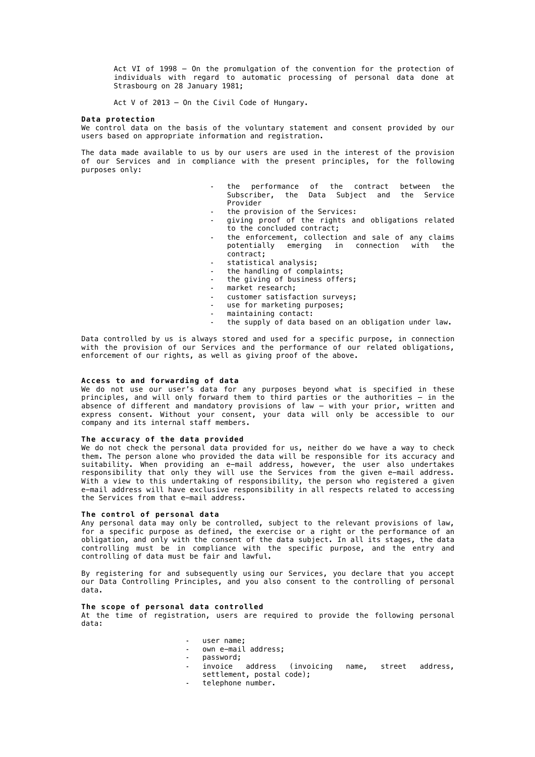Act VI of 1998 – On the promulgation of the convention for the protection of individuals with regard to automatic processing of personal data done at Strasbourg on 28 January 1981;

Act V of 2013 – On the Civil Code of Hungary.

#### **Data protection**

We control data on the basis of the voluntary statement and consent provided by our users based on appropriate information and registration.

The data made available to us by our users are used in the interest of the provision of our Services and in compliance with the present principles, for the following purposes only:

- **-** the performance of the contract between the Subscriber, the Data Subject and the Service Provider
- **-** the provision of the Services:
- **-** giving proof of the rights and obligations related to the concluded contract;
- **-** the enforcement, collection and sale of any claims potentially emerging in connection with the contract;
- **-** statistical analysis;
- **-** the handling of complaints;
- **-** the giving of business offers;
- **-** market research;
- **-** customer satisfaction surveys;
- use for marketing purposes;
- **-** maintaining contact:
- **-** the supply of data based on an obligation under law.

Data controlled by us is always stored and used for a specific purpose, in connection with the provision of our Services and the performance of our related obligations, enforcement of our rights, as well as giving proof of the above.

#### **Access to and forwarding of data**

We do not use our user's data for any purposes beyond what is specified in these principles, and will only forward them to third parties or the authorities – in the absence of different and mandatory provisions of law – with your prior, written and express consent. Without your consent, your data will only be accessible to our company and its internal staff members.

# **The accuracy of the data provided**

We do not check the personal data provided for us, neither do we have a way to check them. The person alone who provided the data will be responsible for its accuracy and suitability. When providing an e-mail address, however, the user also undertakes responsibility that only they will use the Services from the given e-mail address. With a view to this undertaking of responsibility, the person who registered a given e-mail address will have exclusive responsibility in all respects related to accessing the Services from that e-mail address.

#### **The control of personal data**

Any personal data may only be controlled, subject to the relevant provisions of law, for a specific purpose as defined, the exercise or a right or the performance of an obligation, and only with the consent of the data subject. In all its stages, the data controlling must be in compliance with the specific purpose, and the entry and controlling of data must be fair and lawful.

By registering for and subsequently using our Services, you declare that you accept our Data Controlling Principles, and you also consent to the controlling of personal data.

# **The scope of personal data controlled**

At the time of registration, users are required to provide the following personal data:

- **-** user name;
- own e-mail address;
- 
- **-** password; (invoicing name, street address, settlement, postal code);
- **-** telephone number.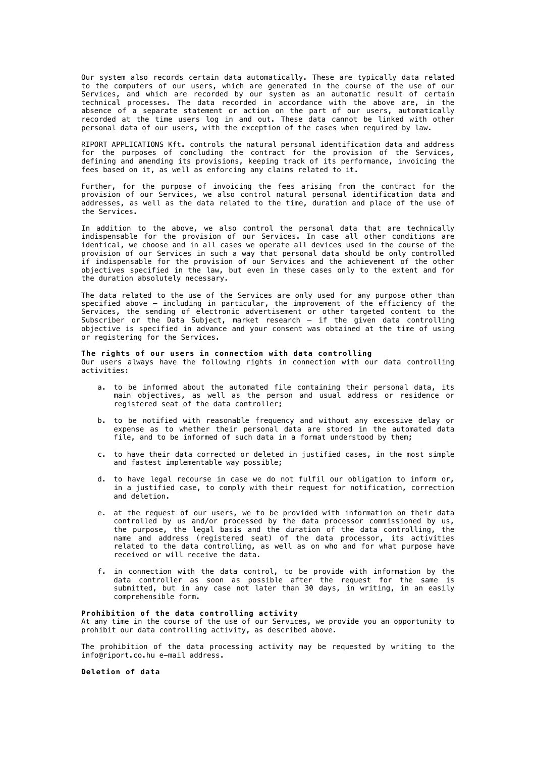Our system also records certain data automatically. These are typically data related to the computers of our users, which are generated in the course of the use of our Services, and which are recorded by our system as an automatic result of certain technical processes. The data recorded in accordance with the above are, in the absence of a separate statement or action on the part of our users, automatically recorded at the time users log in and out. These data cannot be linked with other personal data of our users, with the exception of the cases when required by law.

RIPORT APPLICATIONS Kft. controls the natural personal identification data and address for the purposes of concluding the contract for the provision of the Services, defining and amending its provisions, keeping track of its performance, invoicing the fees based on it, as well as enforcing any claims related to it.

Further, for the purpose of invoicing the fees arising from the contract for the provision of our Services, we also control natural personal identification data and addresses, as well as the data related to the time, duration and place of the use of the Services.

In addition to the above, we also control the personal data that are technically indispensable for the provision of our Services. In case all other conditions are identical, we choose and in all cases we operate all devices used in the course of the provision of our Services in such a way that personal data should be only controlled if indispensable for the provision of our Services and the achievement of the other objectives specified in the law, but even in these cases only to the extent and for the duration absolutely necessary.

The data related to the use of the Services are only used for any purpose other than specified above – including in particular, the improvement of the efficiency of the Services, the sending of electronic advertisement or other targeted content to the Subscriber or the Data Subject, market research – if the given data controlling objective is specified in advance and your consent was obtained at the time of using or registering for the Services.

**The rights of our users in connection with data controlling**  Our users always have the following rights in connection with our data controlling activities:

- a. to be informed about the automated file containing their personal data, its main objectives, as well as the person and usual address or residence or registered seat of the data controller;
- b. to be notified with reasonable frequency and without any excessive delay or expense as to whether their personal data are stored in the automated data file, and to be informed of such data in a format understood by them;
- c. to have their data corrected or deleted in justified cases, in the most simple and fastest implementable way possible;
- d. to have legal recourse in case we do not fulfil our obligation to inform or, in a justified case, to comply with their request for notification, correction and deletion.
- e. at the request of our users, we to be provided with information on their data controlled by us and/or processed by the data processor commissioned by us, the purpose, the legal basis and the duration of the data controlling, the name and address (registered seat) of the data processor, its activities related to the data controlling, as well as on who and for what purpose have received or will receive the data.
- f. in connection with the data control, to be provide with information by the data controller as soon as possible after the request for the same is submitted, but in any case not later than 30 days, in writing, in an easily comprehensible form.

## **Prohibition of the data controlling activity**

At any time in the course of the use of our Services, we provide you an opportunity to prohibit our data controlling activity, as described above.

The prohibition of the data processing activity may be requested by writing to the info@riport.co.hu e-mail address.

**Deletion of data**